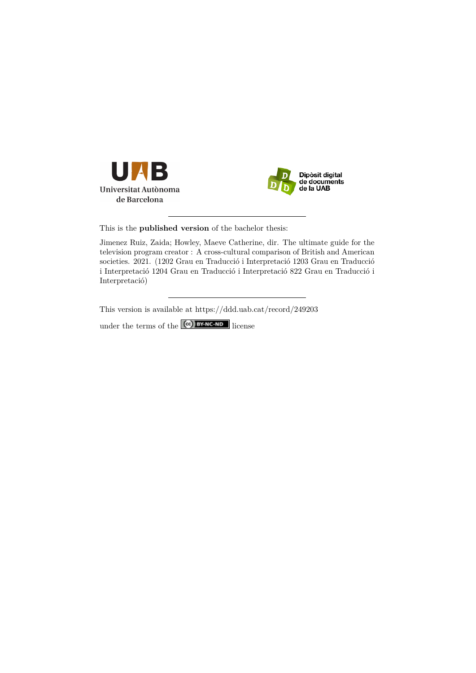



This is the **published version** of the bachelor thesis:

Jimenez Ruiz, Zaida; Howley, Maeve Catherine, dir. The ultimate guide for the television program creator : A cross-cultural comparison of British and American societies. 2021. (1202 Grau en Traducció i Interpretació 1203 Grau en Traducció i Interpretació 1204 Grau en Traducció i Interpretació 822 Grau en Traducció i Interpretació)

This version is available at<https://ddd.uab.cat/record/249203>

under the terms of the **CC** BY-NC-ND license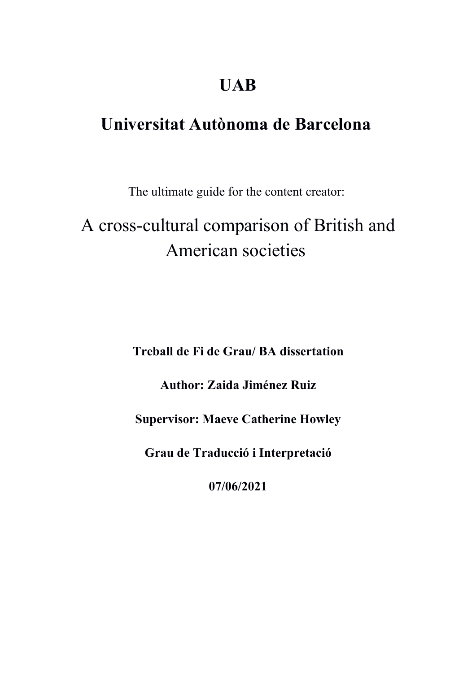# **UAB**

# **Universitat Autònoma de Barcelona**

The ultimate guide for the content creator:

# A cross-cultural comparison of British and American societies

**Treball de Fi de Grau/ BA dissertation**

**Author: Zaida Jiménez Ruiz**

**Supervisor: Maeve Catherine Howley**

**Grau de Traducció i Interpretació**

**07/06/2021**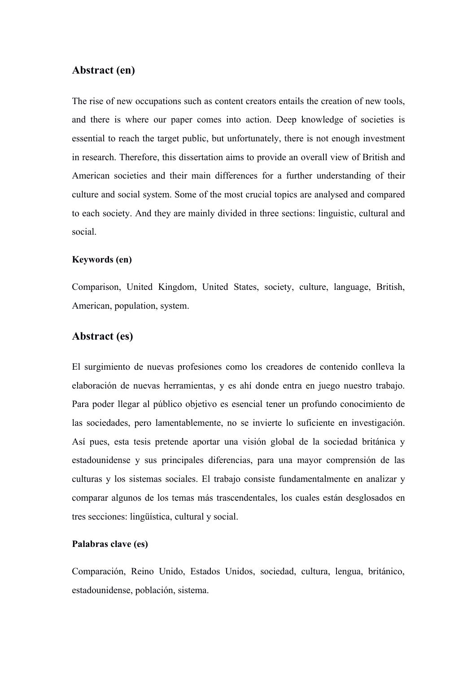### **Abstract (en)**

The rise of new occupations such as content creators entails the creation of new tools, and there is where our paper comes into action. Deep knowledge of societies is essential to reach the target public, but unfortunately, there is not enough investment in research. Therefore, this dissertation aims to provide an overall view of British and American societies and their main differences for a further understanding of their culture and social system. Some of the most crucial topics are analysed and compared to each society. And they are mainly divided in three sections: linguistic, cultural and social.

#### **Keywords (en)**

Comparison, United Kingdom, United States, society, culture, language, British, American, population, system.

## **Abstract (es)**

El surgimiento de nuevas profesiones como los creadores de contenido conlleva la elaboración de nuevas herramientas, y es ahí donde entra en juego nuestro trabajo. Para poder llegar al público objetivo es esencial tener un profundo conocimiento de las sociedades, pero lamentablemente, no se invierte lo suficiente en investigación. Así pues, esta tesis pretende aportar una visión global de la sociedad británica y estadounidense y sus principales diferencias, para una mayor comprensión de las culturas y los sistemas sociales. El trabajo consiste fundamentalmente en analizar y comparar algunos de los temas más trascendentales, los cuales están desglosados en tres secciones: lingüística, cultural y social.

#### **Palabras clave (es)**

Comparación, Reino Unido, Estados Unidos, sociedad, cultura, lengua, británico, estadounidense, población, sistema.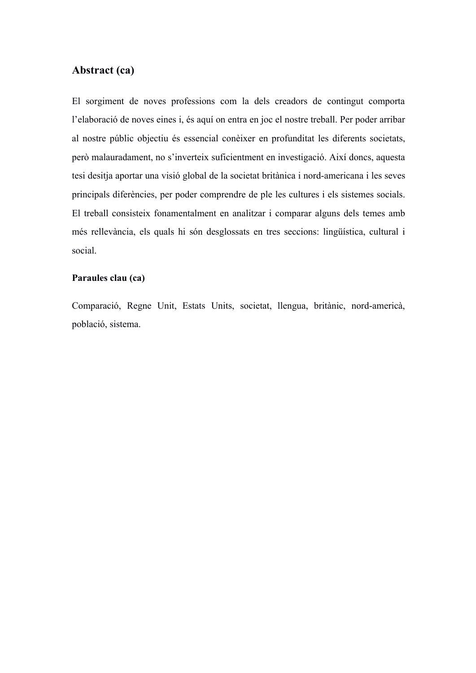## **Abstract (ca)**

El sorgiment de noves professions com la dels creadors de contingut comporta l'elaboració de noves eines i, és aquí on entra en joc el nostre treball. Per poder arribar al nostre públic objectiu és essencial conèixer en profunditat les diferents societats, però malauradament, no s'inverteix suficientment en investigació. Així doncs, aquesta tesi desitja aportar una visió global de la societat britànica i nord-americana i les seves principals diferències, per poder comprendre de ple les cultures i els sistemes socials. El treball consisteix fonamentalment en analitzar i comparar alguns dels temes amb més rellevància, els quals hi són desglossats en tres seccions: lingüística, cultural i social.

#### **Paraules clau (ca)**

Comparació, Regne Unit, Estats Units, societat, llengua, britànic, nord-americà, població, sistema.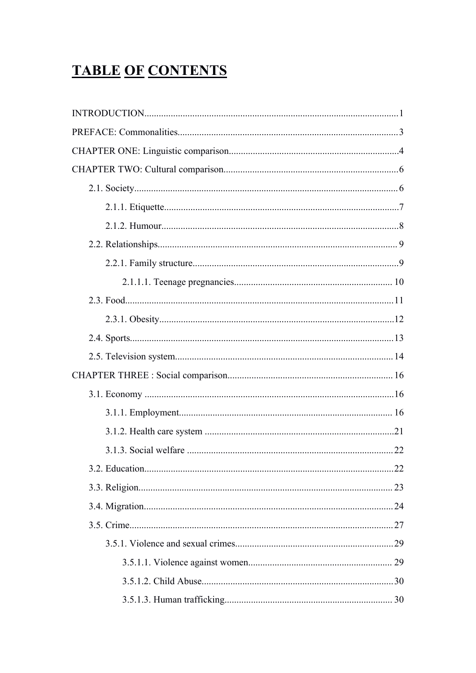# **TABLE OF CONTENTS**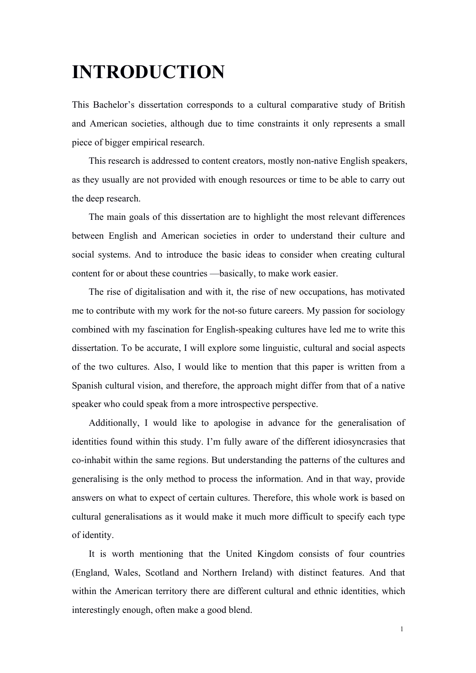# **INTRODUCTION**

This Bachelor's dissertation corresponds to a cultural comparative study of British and American societies, although due to time constraints it only represents a small piece of bigger empirical research.

This research is addressed to content creators, mostly non-native English speakers, as they usually are not provided with enough resources or time to be able to carry out the deep research.

The main goals of this dissertation are to highlight the most relevant differences between English and American societies in order to understand their culture and social systems. And to introduce the basic ideas to consider when creating cultural content for or about these countries —basically, to make work easier.

The rise of digitalisation and with it, the rise of new occupations, has motivated me to contribute with my work for the not-so future careers. My passion for sociology combined with my fascination for English-speaking cultures have led me to write this dissertation. To be accurate, I will explore some linguistic, cultural and social aspects of the two cultures. Also, I would like to mention that this paper is written from a Spanish cultural vision, and therefore, the approach might differ from that of a native speaker who could speak from a more introspective perspective.

Additionally, I would like to apologise in advance for the generalisation of identities found within this study. I'm fully aware of the different idiosyncrasies that co-inhabit within the same regions. But understanding the patterns of the cultures and generalising is the only method to process the information. And in that way, provide answers on what to expect of certain cultures. Therefore, this whole work is based on cultural generalisations as it would make it much more difficult to specify each type of identity.

It is worth mentioning that the United Kingdom consists of four countries (England, Wales, Scotland and Northern Ireland) with distinct features. And that within the American territory there are different cultural and ethnic identities, which interestingly enough, often make a good blend.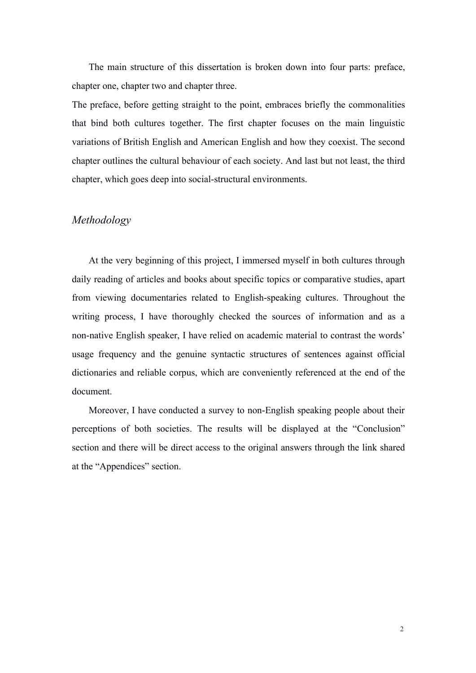The main structure of this dissertation is broken down into four parts: preface, chapter one, chapter two and chapter three.

The preface, before getting straight to the point, embraces briefly the commonalities that bind both cultures together. The first chapter focuses on the main linguistic variations of British English and American English and how they coexist. The second chapter outlines the cultural behaviour of each society. And last but not least, the third chapter, which goes deep into social-structural environments.

#### *Methodology*

At the very beginning of this project, I immersed myself in both cultures through daily reading of articles and books about specific topics or comparative studies, apart from viewing documentaries related to English-speaking cultures. Throughout the writing process, I have thoroughly checked the sources of information and as a non-native English speaker, I have relied on academic material to contrast the words' usage frequency and the genuine syntactic structures of sentences against official dictionaries and reliable corpus, which are conveniently referenced at the end of the document.

Moreover, I have conducted a survey to non-English speaking people about their perceptions of both societies. The results will be displayed at the "Conclusion" section and there will be direct access to the original answers through the link shared at the "Appendices" section.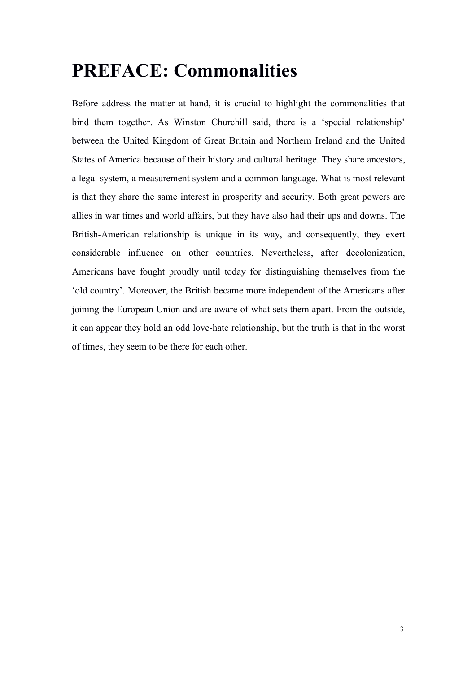# **PREFACE: Commonalities**

Before address the matter at hand, it is crucial to highlight the commonalities that bind them together. As Winston Churchill said, there is a 'special relationship' between the United Kingdom of Great Britain and Northern Ireland and the United States of America because of their history and cultural heritage. They share ancestors, a legal system, a measurement system and a common language. What is most relevant is that they share the same interest in prosperity and security. Both great powers are allies in war times and world affairs, but they have also had their ups and downs. The British-American relationship is unique in its way, and consequently, they exert considerable influence on other countries. Nevertheless, after decolonization, Americans have fought proudly until today for distinguishing themselves from the 'old country'. Moreover, the British became more independent of the Americans after joining the European Union and are aware of what sets them apart. From the outside, it can appear they hold an odd love-hate relationship, but the truth is that in the worst of times, they seem to be there for each other.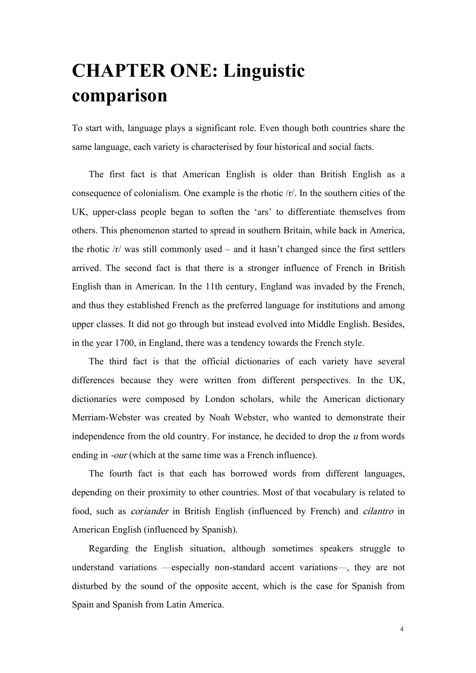# **CHAPTER ONE: Linguistic comparison**

To start with, language plays a significant role. Even though both countries share the same language, each variety is characterised by four historical and social facts.

The first fact is that American English is older than British English as a consequence of colonialism. One example is the rhotic  $\langle r \rangle$ . In the southern cities of the UK, upper-class people began to soften the 'ars' to differentiate themselves from others. This phenomenon started to spread in southern Britain, while back in America, the rhotic /r/ was still commonly used – and it hasn't changed since the first settlers arrived. The second fact is that there is a stronger influence of French in British English than in American. In the 11th century, England was invaded by the French, and thus they established French as the preferred language for institutions and among upper classes. It did not go through but instead evolved into Middle English. Besides, in the year 1700, in England, there was a tendency towards the French style.

The third fact is that the official dictionaries of each variety have several differences because they were written from different perspectives. In the UK, dictionaries were composed by London scholars, while the American dictionary Merriam-Webster was created by Noah Webster, who wanted to demonstrate their independence from the old country. For instance, he decided to drop the  $u$  from words ending in *-our* (which at the same time was a French influence).

The fourth fact is that each has borrowed words from different languages, depending on their proximity to other countries. Most of that vocabulary is related to food, such as coriander in British English (influenced by French) and cilantro in American English (influenced by Spanish).

Regarding the English situation, although sometimes speakers struggle to understand variations —especially non-standard accent variations—, they are not disturbed by the sound of the opposite accent, which is the case for Spanish from Spain and Spanish from Latin America.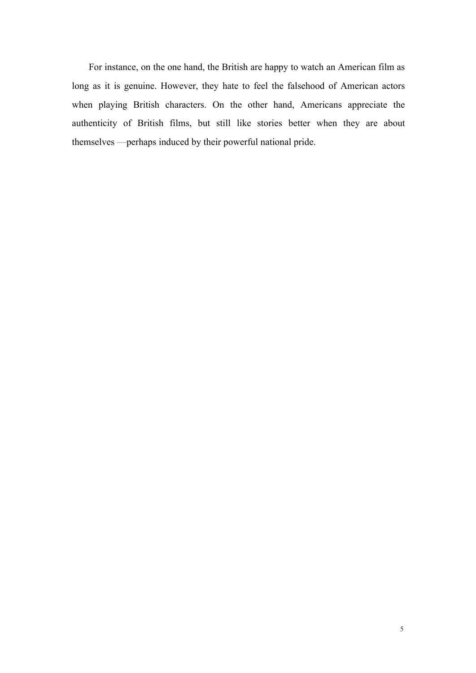For instance, on the one hand, the British are happy to watch an American film as long as it is genuine. However, they hate to feel the falsehood of American actors when playing British characters. On the other hand, Americans appreciate the authenticity of British films, but still like stories better when they are about themselves —perhaps induced by their powerful national pride.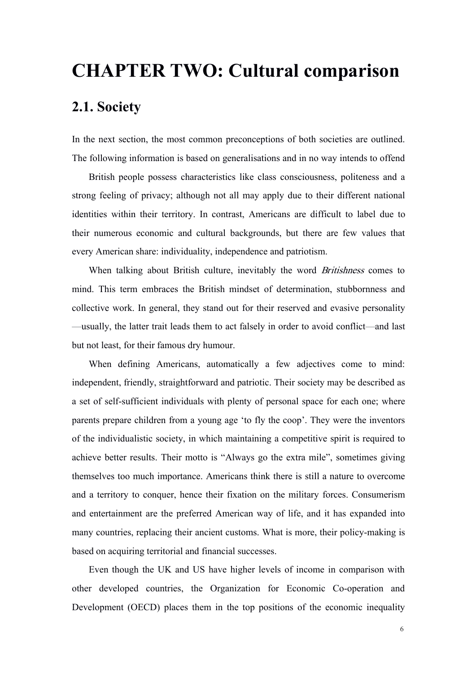# **CHAPTER TWO: Cultural comparison**

## **2.1. Society**

In the next section, the most common preconceptions of both societies are outlined. The following information is based on generalisations and in no way intends to offend

British people possess characteristics like class consciousness, politeness and a strong feeling of privacy; although not all may apply due to their different national identities within their territory. In contrast, Americans are difficult to label due to their numerous economic and cultural backgrounds, but there are few values that every American share: individuality, independence and patriotism.

When talking about British culture, inevitably the word *Britishness* comes to mind. This term embraces the British mindset of determination, stubbornness and collective work. In general, they stand out for their reserved and evasive personality —usually, the latter trait leads them to act falsely in order to avoid conflict—and last but not least, for their famous dry humour.

When defining Americans, automatically a few adjectives come to mind: independent, friendly, straightforward and patriotic. Their society may be described as a set of self-sufficient individuals with plenty of personal space for each one; where parents prepare children from a young age 'to fly the coop'. They were the inventors of the individualistic society, in which maintaining a competitive spirit is required to achieve better results. Their motto is "Always go the extra mile", sometimes giving themselves too much importance. Americans think there is still a nature to overcome and a territory to conquer, hence their fixation on the military forces. Consumerism and entertainment are the preferred American way of life, and it has expanded into many countries, replacing their ancient customs. What is more, their policy-making is based on acquiring territorial and financial successes.

Even though the UK and US have higher levels of income in comparison with other developed countries, the Organization for Economic Co-operation and Development (OECD) places them in the top positions of the economic inequality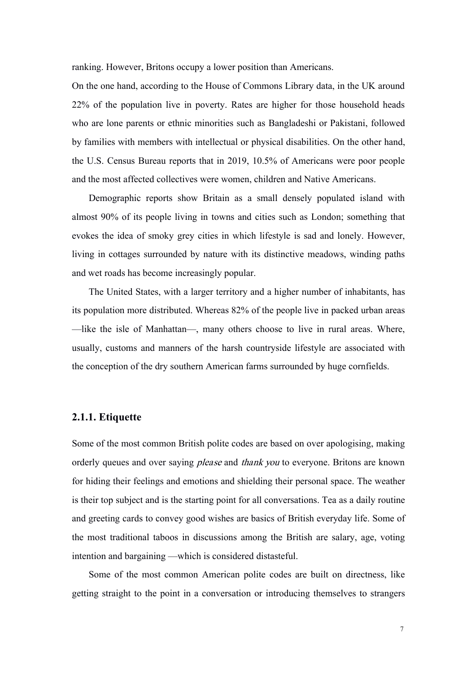ranking. However, Britons occupy a lower position than Americans.

On the one hand, according to the House of Commons Library data, in the UK around 22% of the population live in poverty. Rates are higher for those household heads who are lone parents or ethnic minorities such as Bangladeshi or Pakistani, followed by families with members with intellectual or physical disabilities. On the other hand, the U.S. Census Bureau reports that in 2019, 10.5% of Americans were poor people and the most affected collectives were women, children and Native Americans.

Demographic reports show Britain as a small densely populated island with almost 90% of its people living in towns and cities such as London; something that evokes the idea of smoky grey cities in which lifestyle is sad and lonely. However, living in cottages surrounded by nature with its distinctive meadows, winding paths and wet roads has become increasingly popular.

The United States, with a larger territory and a higher number of inhabitants, has its population more distributed. Whereas 82% of the people live in packed urban areas —like the isle of Manhattan—, many others choose to live in rural areas. Where, usually, customs and manners of the harsh countryside lifestyle are associated with the conception of the dry southern American farms surrounded by huge cornfields.

### **2.1.1. Etiquette**

Some of the most common British polite codes are based on over apologising, making orderly queues and over saying *please* and *thank you* to everyone. Britons are known for hiding their feelings and emotions and shielding their personal space. The weather is their top subject and is the starting point for all conversations. Tea as a daily routine and greeting cards to convey good wishes are basics of British everyday life. Some of the most traditional taboos in discussions among the British are salary, age, voting intention and bargaining —which is considered distasteful.

Some of the most common American polite codes are built on directness, like getting straight to the point in a conversation or introducing themselves to strangers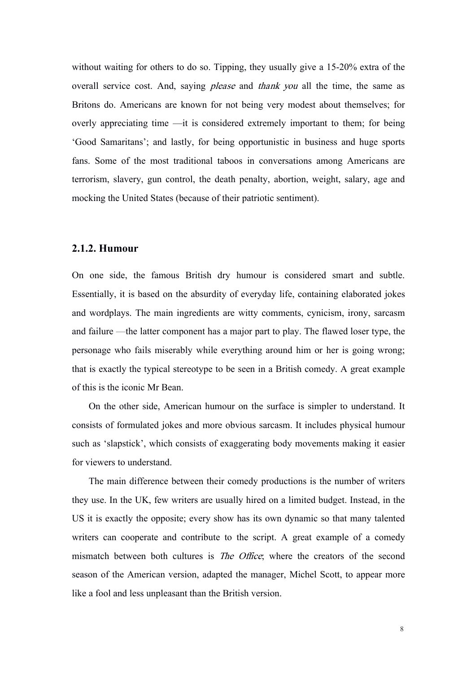without waiting for others to do so. Tipping, they usually give a 15-20% extra of the overall service cost. And, saying please and thank you all the time, the same as Britons do. Americans are known for not being very modest about themselves; for overly appreciating time —it is considered extremely important to them; for being 'Good Samaritans'; and lastly, for being opportunistic in business and huge sports fans. Some of the most traditional taboos in conversations among Americans are terrorism, slavery, gun control, the death penalty, abortion, weight, salary, age and mocking the United States (because of their patriotic sentiment).

#### **2.1.2. Humour**

On one side, the famous British dry humour is considered smart and subtle. Essentially, it is based on the absurdity of everyday life, containing elaborated jokes and wordplays. The main ingredients are witty comments, cynicism, irony, sarcasm and failure —the latter component has a major part to play. The flawed loser type, the personage who fails miserably while everything around him or her is going wrong; that is exactly the typical stereotype to be seen in a British comedy. A great example of this is the iconic Mr Bean.

On the other side, American humour on the surface is simpler to understand. It consists of formulated jokes and more obvious sarcasm. It includes physical humour such as 'slapstick', which consists of exaggerating body movements making it easier for viewers to understand.

The main difference between their comedy productions is the number of writers they use. In the UK, few writers are usually hired on a limited budget. Instead, in the US it is exactly the opposite; every show has its own dynamic so that many talented writers can cooperate and contribute to the script. A great example of a comedy mismatch between both cultures is *The Office*; where the creators of the second season of the American version, adapted the manager, Michel Scott, to appear more like a fool and less unpleasant than the British version.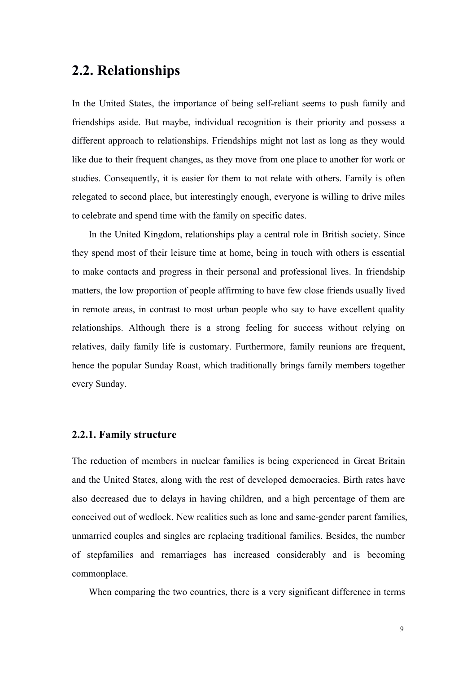## **2.2. Relationships**

In the United States, the importance of being self-reliant seems to push family and friendships aside. But maybe, individual recognition is their priority and possess a different approach to relationships. Friendships might not last as long as they would like due to their frequent changes, as they move from one place to another for work or studies. Consequently, it is easier for them to not relate with others. Family is often relegated to second place, but interestingly enough, everyone is willing to drive miles to celebrate and spend time with the family on specific dates.

In the United Kingdom, relationships play a central role in British society. Since they spend most of their leisure time athome, being in touch with others is essential to make contacts and progress in their personal and professional lives. In friendship matters, the low proportion of people affirming to have few close friends usually lived in remote areas, in contrast to most urban people who say to have excellent quality relationships. Although there is a strong feeling for success without relying on relatives, daily family life is customary. Furthermore, family reunions are frequent, hence the popular Sunday Roast, which traditionally brings family members together every Sunday.

#### **2.2.1. Family structure**

The reduction of members in nuclear families is being experienced in Great Britain and the United States, along with the rest of developed democracies. Birth rates have also decreased due to delays in having children, and a high percentage of them are conceived out of wedlock. New realities such as lone and same-gender parent families, unmarried couples and singles are replacing traditional families. Besides, the number of stepfamilies and remarriages has increased considerably and is becoming commonplace.

When comparing the two countries, there is a very significant difference in terms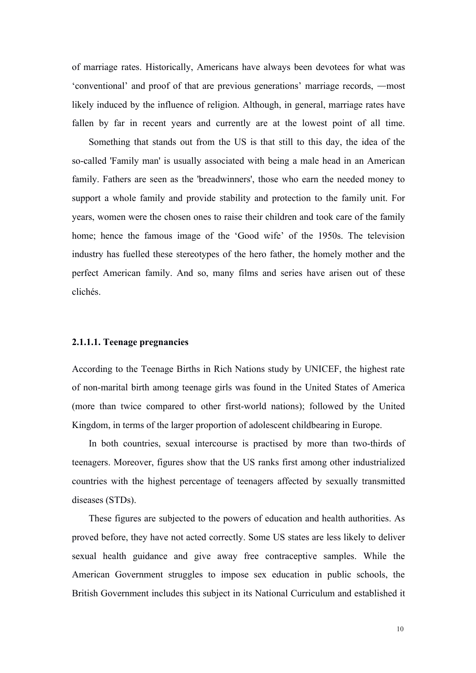of marriage rates. Historically, Americans have always been devotees for what was 'conventional' and proof of that are previous generations' marriage records, —most likely induced by the influence of religion. Although, in general, marriage rates have fallen by far in recent years and currently are at the lowest point of all time.

Something that stands out from the US is that still to this day, the idea of the so-called 'Family man' is usually associated with being a male head in an American family. Fathers are seen as the 'breadwinners', those who earn the needed money to support a whole family and provide stability and protection to the family unit. For years, women were the chosen ones to raise their children and took care of the family home; hence the famous image of the 'Good wife' of the 1950s. The television industry has fuelled these stereotypes of the hero father, the homely mother and the perfect American family. And so, many films and series have arisen out of these clichés.

#### **2.1.1.1. Teenage pregnancies**

According to the Teenage Births in Rich Nations study by UNICEF, the highest rate of non-marital birth among teenage girls was found in the United States of America (more than twice compared to other first-world nations); followed by the United Kingdom, in terms of the larger proportion of adolescent childbearing in Europe.

In both countries, sexual intercourse is practised by more than two-thirds of teenagers. Moreover, figures show that the US ranks first among other industrialized countries with the highest percentage of teenagers affected by sexually transmitted diseases (STDs).

These figures are subjected to the powers of education and health authorities. As proved before, they have not acted correctly. Some US states are less likely to deliver sexual health guidance and give away free contraceptive samples. While the American Government struggles to impose sex education in public schools, the British Government includes this subject in its National Curriculum and established it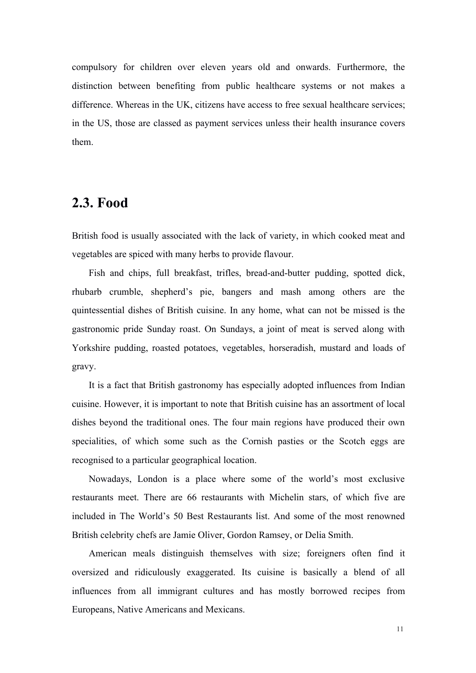compulsory for children over eleven years old and onwards. Furthermore, the distinction between benefiting from public healthcare systems or not makes a difference. Whereas in the UK, citizens have access to free sexual healthcare services; in the US, those are classed as payment services unless their health insurance covers them.

# **2.3. Food**

British food is usually associated with the lack of variety, in which cooked meat and vegetables are spiced with many herbs to provide flavour.

Fish and chips, full breakfast, trifles, bread-and-butter pudding, spotted dick, rhubarb crumble, shepherd's pie, bangers and mash among others are the quintessential dishes of British cuisine. In any home, what can not be missed is the gastronomic pride Sunday roast. On Sundays, a joint of meat is served along with Yorkshire pudding, roasted potatoes, vegetables, horseradish, mustard and loads of gravy.

It is a fact that British gastronomy has especially adopted influences from Indian cuisine. However, it is important to note that British cuisine has an assortment of local dishes beyond the traditional ones. The four main regions have produced their own specialities, of which some such as the Cornish pasties or the Scotch eggs are recognised to a particular geographical location.

Nowadays, London is a place where some of the world's most exclusive restaurants meet. There are 66 restaurants with Michelin stars, of which five are included in The World's 50 Best Restaurants list. And some of the most renowned British celebrity chefs are Jamie Oliver, Gordon Ramsey, or Delia Smith.

American meals distinguish themselves with size; foreigners often find it oversized and ridiculously exaggerated. Its cuisine is basically ablend of all influences from all immigrant cultures and has mostly borrowed recipes from Europeans, Native Americans and Mexicans.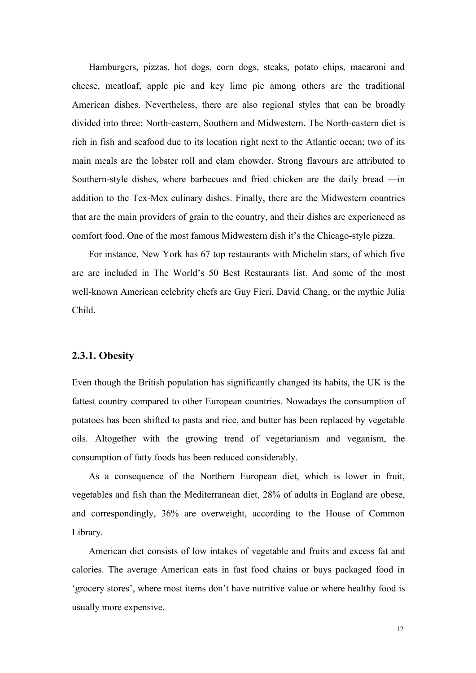Hamburgers, pizzas, hot dogs, corn dogs, steaks, potato chips, macaroni and cheese, meatloaf, apple pie and key lime pie among others are the traditional American dishes. Nevertheless, there are also regional styles that can be broadly divided into three: North-eastern, Southern and Midwestern. The North-eastern diet is rich in fish and seafood due to its location right next to the Atlantic ocean; two of its main meals are the lobster roll and clam chowder. Strong flavours are attributed to Southern-style dishes, where barbecues and fried chicken are the daily bread —in addition to the Tex-Mex culinary dishes. Finally, there are the Midwestern countries that are the main providers of grain to the country, and their dishes are experienced as comfort food. One of the most famous Midwestern dish it's the Chicago-style pizza.

For instance, New York has 67 top restaurants with Michelin stars, of which five are are included in The World's 50 Best Restaurants list. And some of the most well-known American celebrity chefs are Guy Fieri, David Chang, or the mythic Julia Child.

#### **2.3.1. Obesity**

Even though the British population has significantly changed its habits, the UK is the fattest country compared to other European countries. Nowadays the consumption of potatoes has been shifted to pasta and rice, and butter has been replaced by vegetable oils. Altogether with the growing trend of vegetarianism and veganism, the consumption of fatty foods has been reduced considerably.

As a consequence of the Northern European diet, which is lower in fruit, vegetables and fish than the Mediterranean diet, 28% of adults in England are obese, and correspondingly, 36% are overweight, according to the House of Common Library.

American diet consists of low intakes of vegetable and fruits and excess fat and calories. The average American eats in fast food chains or buys packaged food in 'grocery stores', where most items don't have nutritive value or where healthy food is usually more expensive.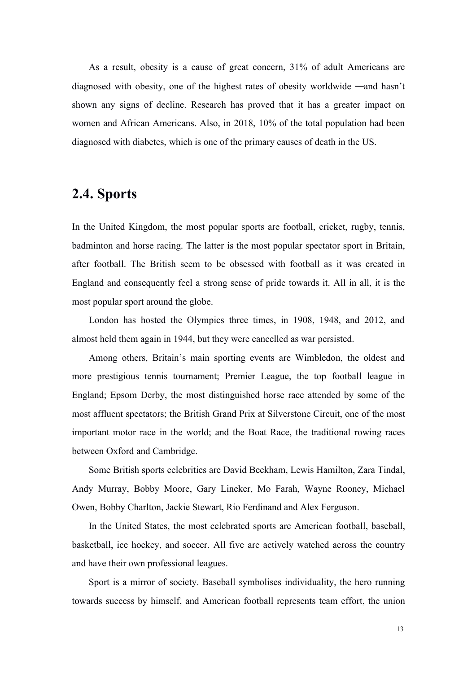As a result, obesity is a cause of great concern, 31% of adult Americans are diagnosed with obesity, one of the highest rates of obesity worldwide —and hasn't shown any signs of decline. Research has proved that it has a greater impact on women and African Americans. Also, in 2018, 10% of the total population had been diagnosed with diabetes, which is one of the primary causes of death in the US.

# **2.4. Sports**

In the United Kingdom, the most popular sports are football, cricket, rugby, tennis, badminton and horse racing. The latter is the most popular spectator sport in Britain, after football. The British seem to be obsessed with football as it was created in England and consequently feel a strong sense of pride towards it. All in all, it is the most popular sport around the globe.

London has hosted the Olympics three times, in [1908,](https://www.topendsports.com/events/summer/hosts/london.htm) [1948,](https://www.topendsports.com/events/summer/hosts/london2.htm) and [2012,](https://www.topendsports.com/events/summer/hosts/london/index.htm) and almost held them again in 1944, but they were cancelled as war persisted.

Among others, Britain's main sporting events are Wimbledon, the oldest and more prestigious tennis tournament; Premier League, the top football league in England; Epsom Derby, the most distinguished horse race attended by some of the most affluent spectators; the British Grand Prix at Silverstone Circuit, one of the most important motor race in the world; and the Boat Race, the traditional rowing races between Oxford and Cambridge.

Some British sports celebrities are David Beckham, Lewis Hamilton, Zara Tindal, Andy Murray, Bobby Moore, Gary Lineker, Mo Farah, Wayne Rooney, Michael Owen, Bobby Charlton, Jackie Stewart, Río Ferdinand and Alex Ferguson.

In the United States, the most celebrated sports are American football, baseball, basketball, ice hockey, and soccer. All five are actively watched across the country and have their own professional leagues.

Sport is a mirror of society. Baseball symbolises individuality, the hero running towards success by himself, and American football represents team effort, the union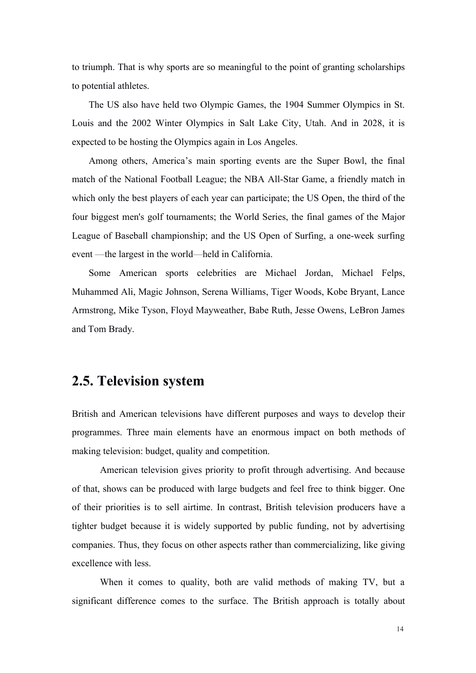to triumph. That is why sports are so meaningful to the point of granting scholarships to potential athletes.

The US also have held two Olympic Games, the 1904 Summer Olympics in St. Louis and the 2002 Winter Olympics in Salt Lake City, Utah. And in 2028, it is expected to be hosting the Olympics again in Los Angeles.

Among others, America's main sporting events are the Super Bowl, the final match of the National Football League; the NBA All-Star Game, a friendly match in which only the best players of each year can participate; the US Open, the third of the four biggest men's golf tournaments; the World Series, the final games of the Major League of Baseball championship; and the US Open of Surfing, a one-week surfing event —the largest in the world—held in California.

Some American sports celebrities are Michael Jordan, Michael Felps, Muhammed Ali, Magic Johnson, Serena Williams, Tiger Woods, Kobe Bryant, Lance Armstrong, Mike Tyson, Floyd Mayweather, Babe Ruth, Jesse Owens, LeBron James and Tom Brady.

## **2.5. Television system**

British and American televisions have different purposes and ways to develop their programmes. Three main elements have an enormous impact on both methods of making television: budget, quality and competition.

American television gives priority to profit through advertising. And because of that, shows can be produced with large budgets and feel free to think bigger. One of their priorities is to sell airtime. In contrast, British television producers have a tighter budget because it is widely supported by public funding, not by advertising companies. Thus, they focus on other aspects rather than commercializing, like giving excellence with less.

When it comes to quality, both are valid methods of making TV, but a significant difference comes to the surface. The British approach is totally about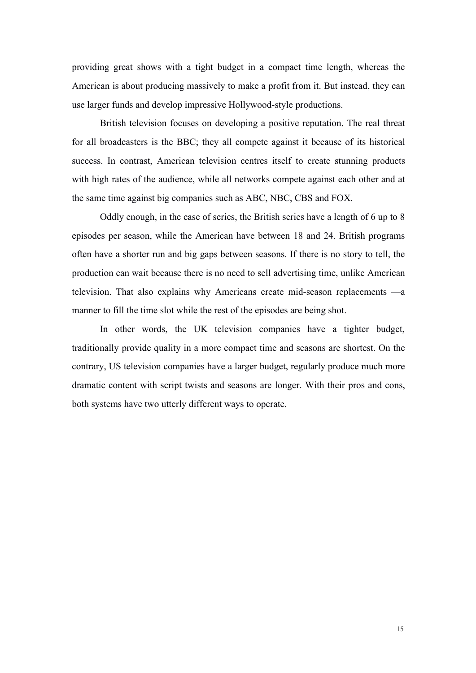providing great shows with a tight budget in a compact time length, whereas the American is about producing massively to make a profit from it. But instead, they can use larger funds and develop impressive Hollywood-style productions.

British television focuses on developing a positive reputation. The real threat for all broadcasters is the BBC; they all compete against it because of its historical success. In contrast, American television centres itself to create stunning products with high rates of the audience, while all networks compete against each other and at the same time against big companies such as ABC, NBC, CBS and FOX.

Oddly enough, in the case of series, the British series have a length of 6 up to 8 episodes per season, while the American have between 18 and 24.British programs often have a shorter run and big gaps between seasons. If there is no story to tell, the production can wait because there is no need to sell advertising time, unlike American television. That also explains why Americans create mid-season replacements —a manner to fill the time slot while the restof the episodes are being shot.

In other words, the UK television companies have a tighter budget, traditionally provide quality in a more compact time and seasons are shortest.On the contrary, US television companies have a larger budget, regularly produce much more dramatic content with script twists and seasons are longer. With their pros and cons, both systems have two utterly different ways to operate.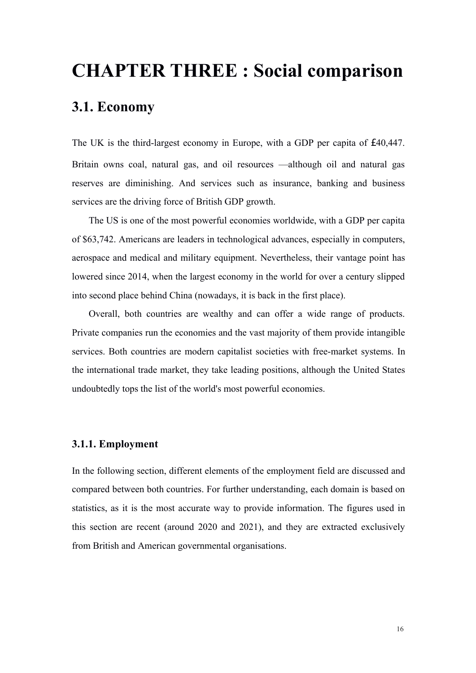# **CHAPTER THREE : Social comparison**

# **3.1. Economy**

The UK is the third-largest economy in Europe, with a GDP per capita of  $\sqrt{40,447}$ . Britain owns coal, natural gas, and oil resources —although oil and natural gas reserves are diminishing. And services such as insurance, banking and business services are the driving force of British GDP growth.

The US is one of the most powerful economies worldwide, with a GDP per capita of \$63,742. Americans are leaders in technological advances, especially in computers, aerospace and medical and military equipment. Nevertheless, their vantage point has lowered since 2014, when the largest economy in the world for over a century slipped into second place behind China (nowadays, it is back in the first place).

Overall, both countries are wealthy and can offer a wide range of products. Private companies run the economies and the vast majority of them provide intangible services. Both countries are modern capitalist societies with free-market systems. In the international trade market, they take leading positions, although the United States undoubtedly tops the list of the world's most powerful economies.

### **3.1.1. Employment**

In the following section, different elements of the employment field are discussed and compared between both countries. For further understanding, each domain is based on statistics, as it is the most accurate way to provide information. The figures used in this section are recent (around 2020 and 2021), and they are extracted exclusively from British and American governmental organisations.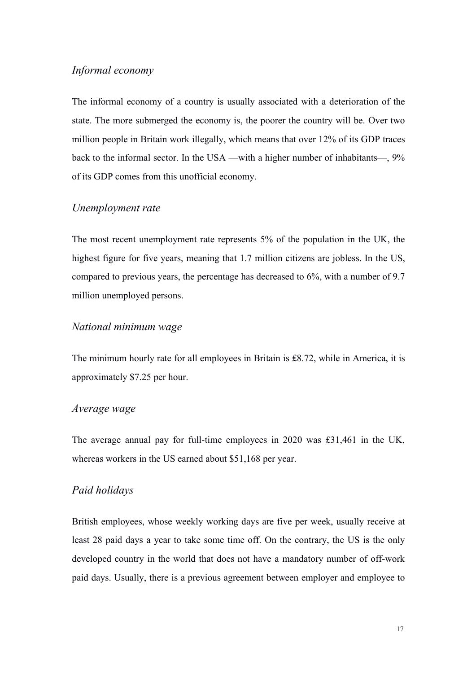## *Informal economy*

The informal economy of a country is usually associated with a deterioration of the state. The more submerged the economy is, the poorer the country will be. Over two million people in Britain work illegally, which means that over 12% of its GDP traces back to the informal sector. In the USA —with a higher number of inhabitants—, 9% of its GDP comes from this unofficial economy.

### *Unemployment rate*

The most recent unemployment rate represents  $5%$  of the population in the UK, the highest figure for five years, meaning that 1.7 million citizens are jobless. In the US, compared to previous years, the percentage has decreased to  $6\%$ , with a number of 9.7 million unemployed persons.

#### *National minimum wage*

The minimum hourly rate for all employees in Britain is ₤8.72, while in America, it is approximately \$7.25 per hour.

### *Average wage*

The average annual pay for full-time employees in 2020 was  $£31,461$  in the UK, whereas workers in the US earned about \$51,168 per year.

## *Paid holidays*

British employees, whose weekly working days are five per week, usually receive at least 28 paid days a year to take some time off. On the contrary, the US is the only developed country in the world that does not have a mandatory number of off-work paid days. Usually, there is a previous agreement between employer and employee to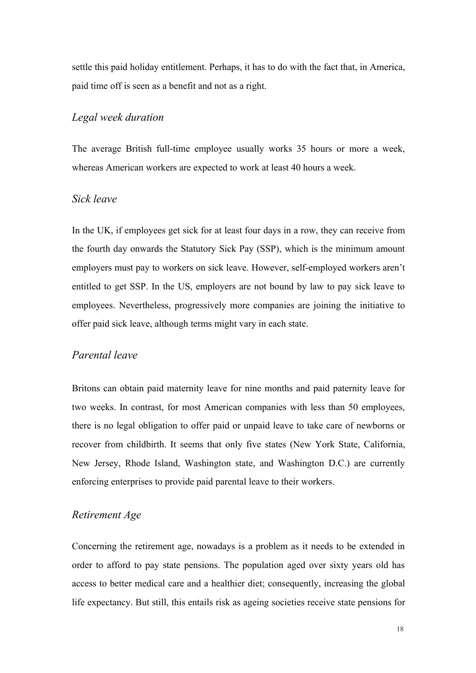settle this paid holiday entitlement. Perhaps, it has to do with the fact that, in America, paid time off is seen as a benefit and not as a right.

## *Legal week duration*

The average British full-time employee usually works 35 hours or more a week, whereas American workers are expected to work at least 40 hours a week.

### *Sick leave*

In the UK, if employees get sick for at least four days in a row, they can receive from the fourth day onwards the Statutory Sick Pay (SSP), which is the minimum amount employers must pay to workers on sick leave. However, self-employed workers aren't entitled to get SSP. In the US, employers are not bound by law to pay sick leave to employees. Nevertheless, progressively more companies are joining the initiative to offer paid sick leave, although terms might vary in each state.

### *Parental leave*

Britons can obtain paid maternity leave for nine months and paid paternity leave for two weeks. In contrast, for most American companies with less than 50 employees, there is no legal obligation to offer paid or unpaid leave to take care of newborns or recover from childbirth. It seems that only five states (New York State, California, New Jersey, Rhode Island, Washington state, and Washington D.C.) are currently enforcing enterprises to provide paid parental leave to their workers.

### *Retirement Age*

Concerning the retirement age, nowadays is a problem as it needs to be extended in order to afford to pay state pensions. The population aged over sixty years old has access to better medical care and a healthier diet; consequently, increasing the global life expectancy. But still, this entails risk as ageing societies receive state pensions for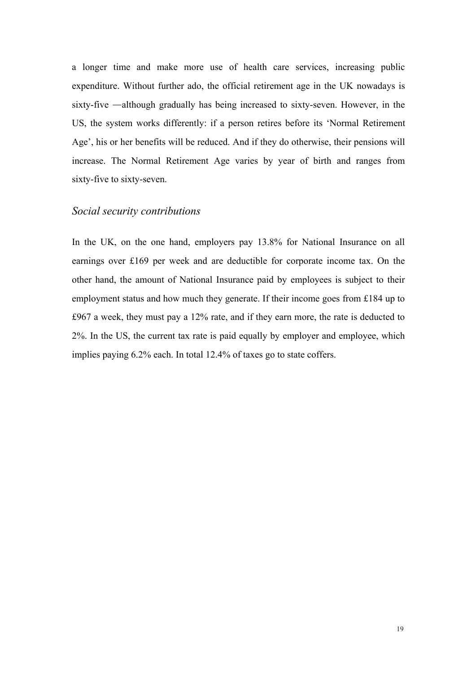a longer time and make more use of health care services, increasing public expenditure. Without further ado, the official retirement age in the UK nowadays is sixty-five —although gradually has being increased to sixty-seven. However, in the US, the system works differently: if a person retires before its 'Normal Retirement Age', his or her benefits will be reduced. And if they do otherwise, their pensions will increase. The Normal Retirement Age varies by year of birth and ranges from sixty-five to sixty-seven.

#### *Social security contributions*

In the UK, on the one hand, employers pay 13.8% for National Insurance on all earnings over £169 per week and are deductible for corporate income tax. On the other hand, the amount of National Insurance paid by employees is subject to their employment status and how much they generate. If their income goes from £184 up to  $£967$  a week, they must pay a  $12\%$  rate, and if they earn more, the rate is deducted to 2%. In the US, the current tax rate is paid equally by employer and employee, which implies paying 6.2% each. In total 12.4% of taxes go to state coffers.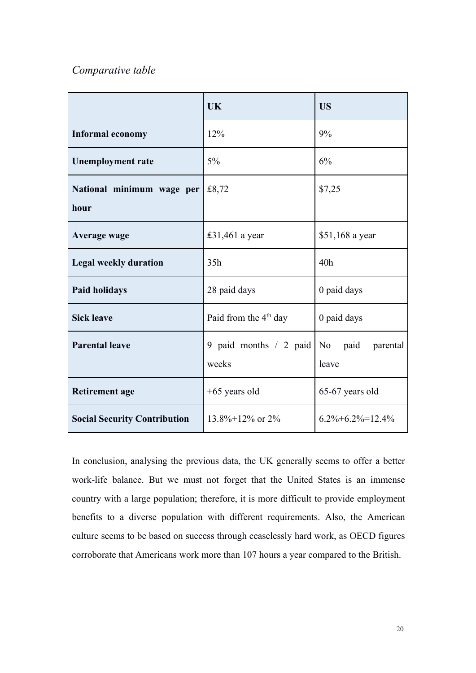## *Comparative table*

|                                     | <b>UK</b>                           | <b>US</b>                 |
|-------------------------------------|-------------------------------------|---------------------------|
| <b>Informal economy</b>             | 12%                                 | 9%                        |
| <b>Unemployment rate</b>            | $5\%$                               | 6%                        |
| National minimum wage per<br>hour   | £8,72                               | \$7,25                    |
| Average wage                        | £31,461 a year                      | \$51,168 a year           |
| <b>Legal weekly duration</b>        | 35h                                 | 40h                       |
| <b>Paid holidays</b>                | 28 paid days                        | 0 paid days               |
| <b>Sick leave</b>                   | Paid from the 4 <sup>th</sup> day   | 0 paid days               |
| <b>Parental leave</b>               | 9 paid months $/2$ paid No<br>weeks | paid<br>parental<br>leave |
| <b>Retirement age</b>               | $+65$ years old                     | 65-67 years old           |
| <b>Social Security Contribution</b> | $13.8\% + 12\%$ or $2\%$            | $6.2\% + 6.2\% = 12.4\%$  |

In conclusion, analysing the previous data, the UK generally seems to offer a better work-life balance. But we must not forget that the United States is an immense country with a large population; therefore, it is more difficult to provide employment benefits to a diverse population with different requirements. Also, the American culture seems to be based on success through ceaselessly hard work, as OECD figures corroborate that Americans work more than 107 hours a year compared to the British.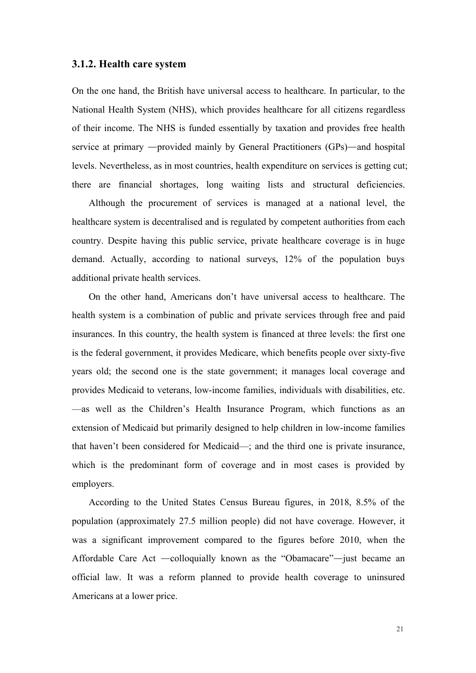#### **3.1.2. Health care system**

On the one hand, the British have universal access to healthcare. In particular, to the National Health System (NHS), which provides healthcare for all citizens regardless of their income. The NHS is funded essentially by taxation and provides free health service at primary —provided mainly by General Practitioners (GPs)—and hospital levels. Nevertheless, as in most countries, health expenditure on services is getting cut; there are financial shortages, long waiting lists and structural deficiencies.

Although the procurement of services is managed at a national level, the healthcare system is decentralised and is regulated by competent authorities from each country. Despite having this public service, private healthcare coverage is in huge demand. Actually, according to national surveys, 12% of the population buys additional private health services.

On the other hand, Americans don't have universal access to healthcare.The health system is a combination of public and private services through free and paid insurances. In this country, the health system is financed at three levels: the first one is the federal government, it provides Medicare, which benefits people over sixty-five years old; the second one is the state government; it manages local coverage and provides Medicaid to veterans, low-income families, individuals with disabilities, etc. —as well as the Children's Health Insurance Program, which functions as an extension of Medicaid but primarily designed to help children in low-income families that haven't been considered for Medicaid—; and the third one is private insurance, which is the predominant form of coverage and in most cases is provided by employers.

According to the United States Census Bureau figures, in 2018, 8.5% of the population (approximately 27.5 million people) did not have coverage. However, it was a significant improvement compared to the figures before 2010, when the Affordable Care Act —colloquially known as the "Obamacare"—just became an official law. It was a reform planned to provide health coverage to uninsured Americans at a lower price.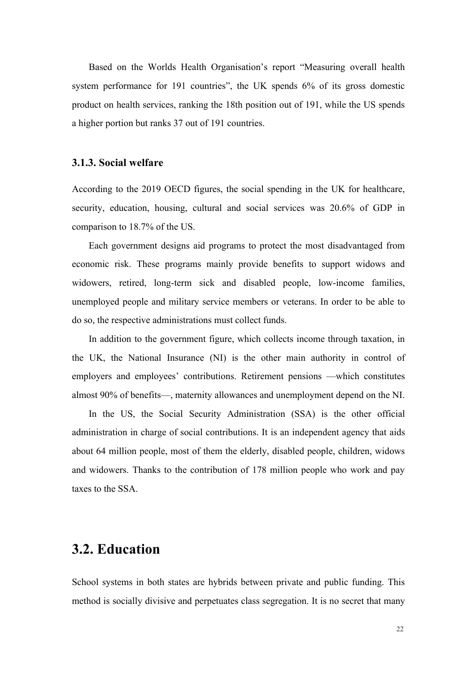Based on the Worlds Health Organisation's report "Measuring overall health system performance for 191 countries", the UK spends 6% of its gross domestic product on health services, ranking the 18th position out of 191, while the US spends a higher portion but ranks 37 out of 191 countries.

#### **3.1.3. Social welfare**

According to the 2019 OECD figures, the social spending in the UK for healthcare, security, education, housing, cultural and social services was 20.6% of GDP in comparison to 18.7% of the US.

Each government designs aid programs to protect the most disadvantaged from economic risk. These programs mainly provide benefits to support widows and widowers, retired, long-term sick and disabled people, low-income families, unemployed people and military service members or veterans. In order to be able to do so, the respective administrations mustcollect funds.

In addition to the government figure, which collects income through taxation, in the UK, the National Insurance (NI) is the other main authority in control of employers and employees' contributions. Retirement pensions —which constitutes almost 90% of benefits—, maternity allowances and unemployment depend on the NI.

In the US, the Social Security Administration (SSA) is the other official administration in charge of social contributions. It is an independent agency that aids about 64 million people, most of them the elderly, disabled people, children, widows and widowers. Thanks to the contribution of 178 million people who work and pay taxes to the SSA.

## **3.2. Education**

School systems in both states are hybrids between private and public funding. This method is socially divisive and perpetuates class segregation. It is no secret that many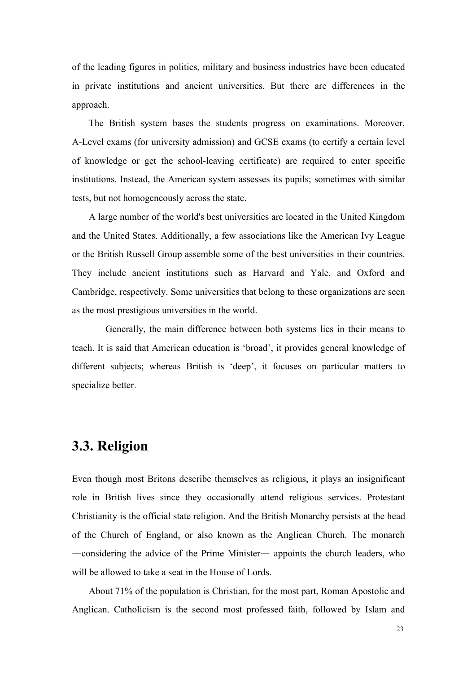of the leading figures in politics, military and business industries have been educated in private institutions and ancient universities. But there are differences in the approach.

The British system bases the students progress on examinations. Moreover, A-Level exams (for university admission) and GCSE exams (to certify a certain level of knowledge or get the school-leaving certificate) are required to enter specific institutions. Instead, the American system assesses its pupils; sometimes with similar tests, but not homogeneously across the state.

A large number of the world's best universities are located in the United Kingdom and the United States. Additionally, a few associations like the American Ivy League or the British Russell Group assemble some of the best universities in their countries. They include ancient institutions such as Harvard and Yale, and Oxford and Cambridge, respectively. Some universities that belong to these organizations are seen as the most prestigious universities in the world.

Generally, the main difference between both systems lies in their means to teach. It is said that American education is 'broad', it provides general knowledge of different subjects; whereas British is 'deep', it focuses on particular matters to specialize better.

# **3.3. Religion**

Even though most Britons describe themselves as religious, it plays an insignificant role in British lives since they occasionally attend religious services. Protestant Christianity is the official state religion. And the British Monarchy persists at the head of the Church of England, or also known as the Anglican Church. The monarch —considering the advice of the Prime Minister— appoints the church leaders, who will be allowed to take a seat in the House of Lords.

About 71% of the population is Christian, for the most part, Roman Apostolic and Anglican. Catholicism is the second most professed faith, followed by Islam and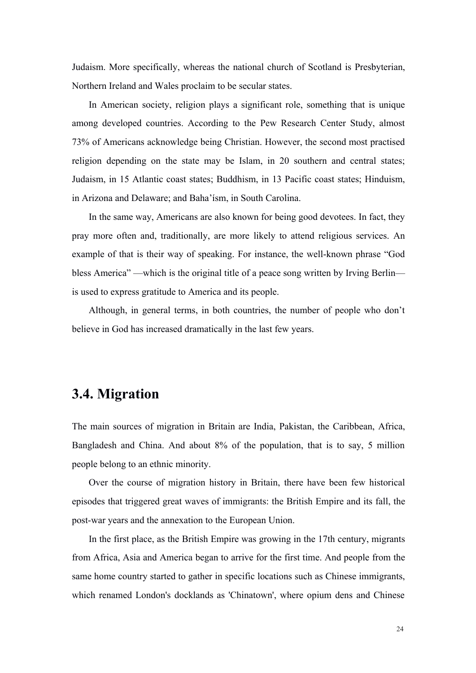Judaism. More specifically, whereas the national church of Scotland is Presbyterian, Northern Ireland and Wales proclaim to be secular states.

In American society, religion plays a significant role, something that is unique among developed countries. According to the Pew Research Center Study, almost 73% of Americans acknowledge being Christian. However, the second most practised religion depending on the state may be Islam, in 20 southern and central states; Judaism, in 15 Atlantic coast states; Buddhism, in 13 Pacific coast states; Hinduism, in Arizona and Delaware; and Baha'ísm, in South Carolina.

In the same way, Americans are also known for being good devotees. In fact, they pray more often and, traditionally, are more likely to attend religious services. An example of that is their way of speaking. For instance, the well-known phrase "God bless America" —which is the original title of a peace song written by Irving Berlin is used to express gratitude to America and its people.

Although, in general terms, in both countries, the number of people who don't believe in God has increased dramatically in the last few years.

# **3.4. Migration**

The main sources of migration in Britain are India, Pakistan, the Caribbean, Africa, Bangladesh and China. And about 8% of the population, that is to say, 5 million people belong to an ethnic minority.

Over the course of migration history in Britain, there have been few historical episodes that triggered great waves of immigrants: the British Empire and its fall, the post-war years and the annexation to the European Union.

In the first place, as the British Empire was growing in the 17th century, migrants from Africa, Asia and America began to arrive for the first time. And people from the same home country started to gather in specific locations such as Chinese immigrants, which renamed London's docklands as 'Chinatown', where opium dens and Chinese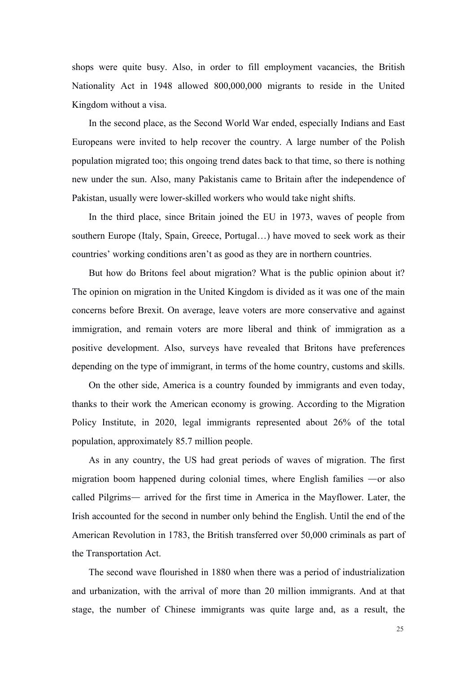shops were quite busy. Also, in order to fill employment vacancies, the British Nationality Act in 1948 allowed 800,000,000 migrants to reside in the United Kingdom without a visa.

In the second place, as the Second World War ended, especially Indians and East Europeans were invited to help recover the country. A large number of the Polish population migrated too; this ongoing trend dates back to that time, so there is nothing new under the sun. Also, many Pakistanis came to Britain after the independence of Pakistan, usually were lower-skilled workers who would take night shifts.

In the third place, since Britain joined the EU in 1973, waves of people from southern Europe (Italy, Spain, Greece, Portugal…) have moved to seek work as their countries' working conditions aren't as good as they are in northern countries.

But how do Britons feel about migration? What is the public opinion about it? The opinion on migration in the United Kingdom is divided as it was one of the main concerns before Brexit. On average, leave voters are more conservative and against immigration, and remain voters are more liberal and think of immigration as a positive development. Also, surveys have revealed that Britons have preferences depending on the type of immigrant, in terms of the home country, customs and skills.

On the other side, America is a country founded by immigrants and even today, thanks to their work the American economy is growing. According to the Migration Policy Institute, in 2020, legal immigrants represented about 26% of the total population, approximately 85.7 million people.

As in any country, the US had great periods of waves of migration. The first migration boom happened during colonial times, where English families —or also called Pilgrims— arrived for the first time in America in the Mayflower. Later, the Irish accounted for the second in number only behind the English. Until the end of the American Revolution in 1783, the British transferred over 50,000 criminals as part of the Transportation Act.

The second wave flourished in 1880 when there was a period of industrialization and urbanization, with the arrival of more than 20 million immigrants. And at that stage, the number of Chinese immigrants was quite large and, as a result, the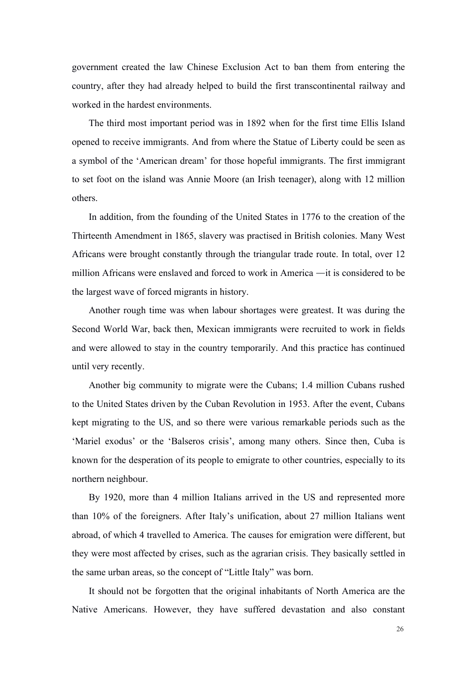government created the law Chinese Exclusion Act to ban them from entering the country, after they had already helped to build the first transcontinental railway and worked in the hardest environments.

The third most important period was in 1892 when for the first time Ellis Island opened to receive immigrants. And from where the Statue of Liberty could be seen as a symbol of the 'American dream' for those hopeful immigrants. The first immigrant to set foot on the island was Annie Moore (an Irish teenager), along with 12 million others.

In addition, from the founding of the United States in 1776 to the creation of the Thirteenth [Amendment](https://en.wikipedia.org/wiki/13th_Amendment_to_the_United_States_Constitution) in 1865, slavery was practised in British [colonies](https://en.wikipedia.org/wiki/British_America). Many West Africans were brought constantly through the triangular trade route. In total, over 12 million Africans were enslaved and forced to work in America —it is considered to be the largest wave of forced migrants in history.

Another rough time was when labour shortages were greatest. It was during the Second World War, back then, Mexican immigrants were recruited to work in fields and were allowed to stay in the country temporarily. And this practice has continued until very recently.

Another big community to migrate were the Cubans; 1.4 million Cubans rushed to the United States driven by the Cuban Revolution in 1953. After the event, Cubans kept migrating to the US, and so there were various remarkable periods such as the 'Mariel exodus' or the 'Balseros crisis', among many others. Since then, Cuba is known for the desperation of its people to emigrate to other countries, especially to its northern neighbour.

By 1920, more than 4 million Italians arrived in the US and represented more than 10% of the foreigners. After Italy's unification, about 27 million Italians went abroad, of which 4 travelled to America. The causes for emigration were different, but they were most affected by crises, such as the agrarian crisis. They basically settled in the same urban areas, so the concept of "Little Italy" was born.

It should not be forgotten that the original inhabitants of North America are the Native Americans. However, they have suffered devastation and also constant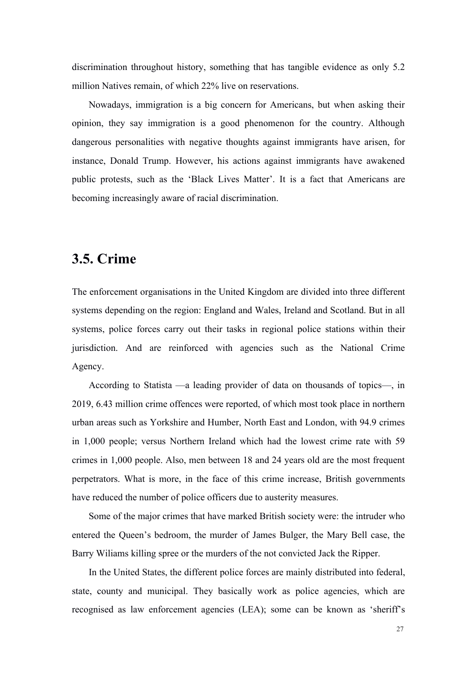discrimination throughout history, something that has tangible evidence as only 5.2 million Natives remain, of which 22% live on reservations.

Nowadays, immigration is a big concern for Americans, but when asking their opinion, they say immigration is a good phenomenon for the country. Although dangerous personalities with negative thoughts against immigrants have arisen, for instance, Donald Trump. However, his actions against immigrants have awakened public protests, such as the 'Black Lives Matter'. It is a fact that Americans are becoming increasingly aware of racial discrimination.

# **3.5. Crime**

The enforcement organisations in the United Kingdom are divided into three different systems depending on the region: England and Wales, Ireland and Scotland. But in all systems, police forces carry out their tasks in regional police stations within their jurisdiction. And are reinforced with agencies such as the National Crime Agency.

According to Statista —a leading provider of data on thousands of topics—, in 2019, 6.43 million crime offences were reported, of which most took place in northern urban areas such as Yorkshire and Humber, North East and London, with 94.9 crimes in 1,000 people; versus Northern Ireland which had the lowest crime rate with 59 crimes in 1,000 people. Also, men between 18 and 24 years old are the most frequent perpetrators. What is more, in the face of this crime increase, British governments have reduced the number of police officers due to austerity measures.

Some of the major crimes that have marked British society were: the intruder who entered the Queen's bedroom, the murder of James Bulger, the Mary Bell case, the Barry Wiliams killing spree or the murders of the not convicted Jack the Ripper.

In the United States, the different police forces are mainly distributed into federal, state, county and municipal.They basically work as police agencies, which are recognised as law enforcement agencies (LEA); some can be known as 'sheriff's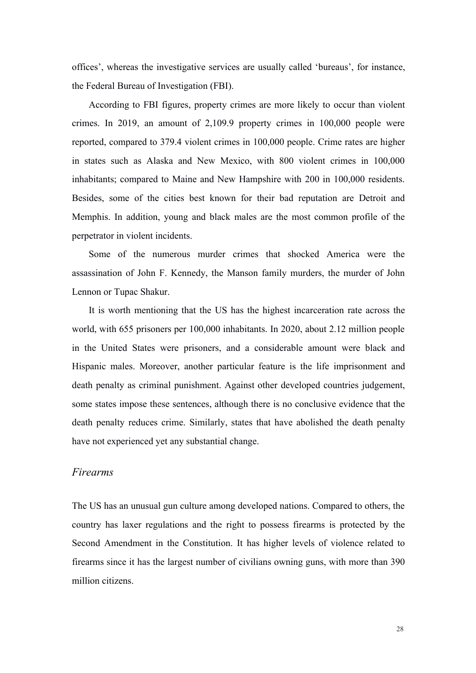offices', whereas the investigative services are usually called 'bureaus', for instance, the Federal Bureau of Investigation (FBI).

According to FBI figures, property crimes are more likely to occur than violent crimes. In 2019, an amount of 2,109.9 property crimes in 100,000 people were reported, compared to 379.4 violent crimes in 100,000 people. Crime rates are higher in states such as Alaska and New Mexico, with 800 violent crimes in 100,000 inhabitants; compared to Maine and New Hampshire with 200 in 100,000 residents. Besides, some of the cities best known for their bad reputation are Detroit and Memphis. In addition, young and black males are the most common profile of the perpetrator in violent incidents.

Some of the numerous murder crimes that shocked America were the assassination of John F. Kennedy, the Manson family murders, the murder of John Lennon or Tupac Shakur.

It is worth mentioning that the US has the highest incarceration rate across the world, with 655 prisoners per 100,000 inhabitants. In 2020, about 2.12 million people in the United States were prisoners, and a considerable amount were black and Hispanic males. Moreover, another particular feature is the life imprisonment and death penalty as criminal punishment. Against other developed countries judgement, some states impose these sentences, although there is no conclusive evidence that the death penalty reduces crime. Similarly, states that have abolished the death penalty have not experienced yet any substantial change.

### *Firearms*

The US has an unusual gun culture among developed nations. Compared to others, the country has laxer regulations and the right to possess firearms is protected by the Second Amendment in the Constitution. It has higher levels of violence related to firearms since it has the largest number of civilians owning guns, with more than 390 million citizens.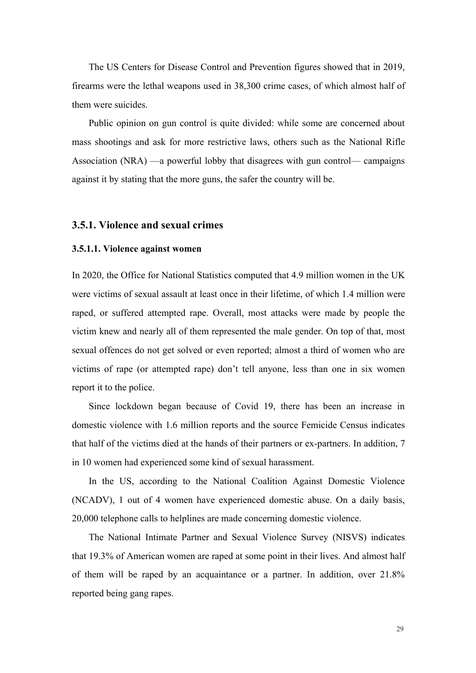The US Centers for Disease Control and Prevention figures showed that in 2019, firearms were the lethal weapons used in 38,300 crime cases, of which almost half of them were suicides.

Public opinion on gun control is quite divided: while some are concerned about mass shootings and ask for more restrictive laws, others such as the National Rifle Association (NRA) —a powerful lobby that disagrees with gun control— campaigns against it by stating that the more guns, the safer the country will be.

#### **3.5.1. Violence and sexual crimes**

#### **3.5.1.1. Violence against women**

In 2020, the Office for National Statistics computed that 4.9 million women in the UK were victims of sexual assault at least once in their lifetime, of which 1.4 million were raped, or suffered attempted rape. Overall, most attacks were made by people the victim knew and nearly all of them represented the male gender. On top of that, most sexual offences do not get solved or even reported; almost a third of women who are victims of rape (or attempted rape) don't tell anyone, less than one in six women report it to the police.

Since lockdown began because of Covid 19, there has been an increase in domestic violence with 1.6 million reports and the source Femicide Census indicates that half of the victims died at the hands of their partners orex-partners. In addition, 7 in 10 women had experienced some kind of sexual harassment.

In the US, according to the National Coalition Against Domestic Violence (NCADV), 1 out of 4 women have experienced domestic abuse. On a daily basis, 20,000 telephone calls to helplines are made concerning domestic violence.

The National Intimate Partner and Sexual Violence Survey (NISVS) indicates that 19.3% of American women are raped at some point in their lives. And almost half of them will be raped by an acquaintance or a partner. In addition, over 21.8% reported being gang [rapes](https://en.wikipedia.org/wiki/Gang_rape).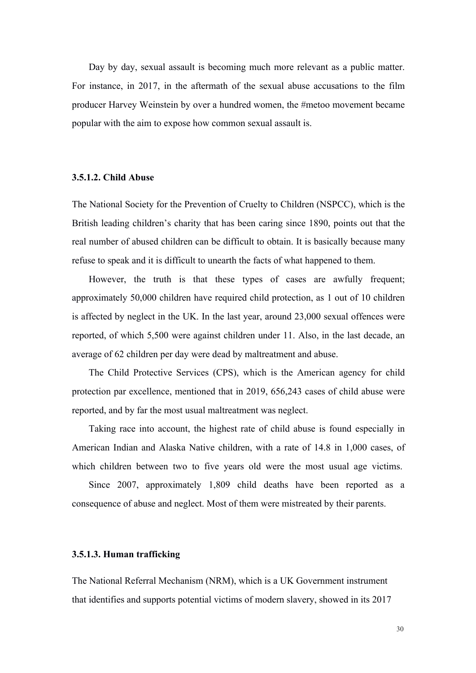Day by day, sexual assault is becoming much more relevant as a public matter. For instance, in 2017, in the aftermath of the sexual abuse accusations to the film producer Harvey Weinstein by over a hundred women, the #metoo movement became popular with the aim to expose how common sexual assault is.

#### **3.5.1.2. Child Abuse**

The National Society for the Prevention of Cruelty to Children (NSPCC), which is the British leading children's charity that has been caring since 1890, points out that the real number of abused children can be difficult to obtain. It is basically because many refuse to speak and it is difficult to unearth the facts ofwhat happened to them.

However, the truth is that these types of cases are awfully frequent; approximately 50,000 children have required child protection, as 1 out of 10 children is affected by neglect in the UK. In the last year, around 23,000 sexual offences were reported, of which 5,500 were against children under 11. Also, in the last decade, an average of 62 children per day were dead by maltreatment and abuse.

The Child Protective Services (CPS), which is the American agency for child protection par excellence, mentioned that in 2019, 656,243 cases of child abuse were reported, and by far the most usual maltreatment was neglect.

Taking race into account, the highest rate of child abuse is found especially in American Indian and Alaska Native children, with a rate of 14.8 in 1,000 cases, of which children between two to five years old were the most usual age victims.

Since 2007, approximately 1,809 child deaths have been reported as a consequence of abuse and neglect. Most of them were mistreated by their parents.

#### **3.5.1.3. Human trafficking**

The National Referral Mechanism (NRM), which is a UK Government instrument that identifies and supports potential victims of modern slavery, showed in its 2017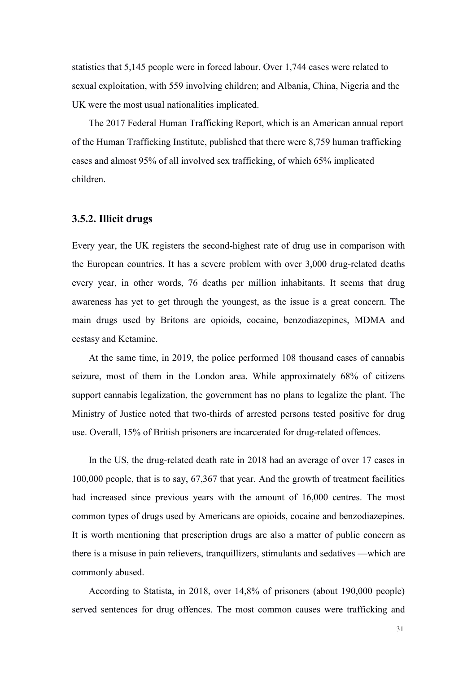statistics that 5,145 people were in forced labour. Over 1,744 cases were related to sexual exploitation, with 559 involving children; and Albania, China, Nigeria and the UK were the most usual nationalities implicated.

The 2017 Federal Human Trafficking Report, which is an American annual report of the Human Trafficking Institute, published that there were 8,759 human trafficking cases and almost 95% of all involved sex trafficking, of which 65% implicated children.

#### **3.5.2. Illicit drugs**

Every year, the UK registers the second-highest rate of drug use in comparison with the European countries. It has a severe problem with over 3,000 drug-related deaths every year, in other words, 76 deaths per million inhabitants. It seems that drug awareness has yet to get through the youngest, as the issue is a great concern. The main drugs used by Britons are opioids, cocaine, benzodiazepines, MDMA and ecstasy and Ketamine.

At the same time, in 2019, the police performed 108 thousand cases of cannabis seizure, most of them in the London area. While approximately 68% of citizens support cannabis legalization, the government has no plans to legalize the plant. The Ministry of Justice noted that two-thirds of arrested persons tested positive for drug use. Overall, 15% of British prisoners are incarcerated for drug-related offences.

In the US, the drug-related death rate in 2018 had an average of over 17 cases in 100,000 people, that is to say, 67,367 that year. And the growth of treatment facilities had increased since previous years with the amount of 16,000 centres. The most common types of drugs used by Americans are opioids, cocaine and benzodiazepines. It is worth mentioning that prescription drugs are also a matter of public concern as there is a misuse in pain relievers, tranquillizers, stimulants and sedatives —which are commonly abused.

According to Statista, in 2018, over 14,8% of prisoners (about 190,000 people) served sentences for drug offences. The most common causes were trafficking and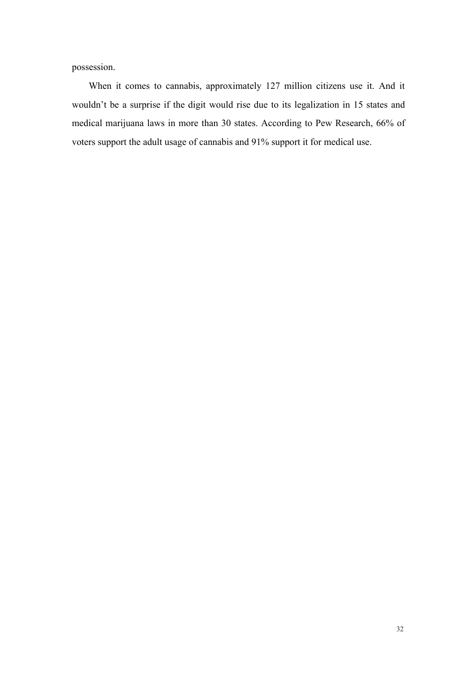possession.

When it comes to cannabis, approximately 127 million citizens use it. And it wouldn't be a surprise if the digit would rise due to its legalization in 15 states and medical marijuana laws in more than 30 states. According to Pew Research, 66% of voters support the adult usage of cannabis and 91% support it for medical use.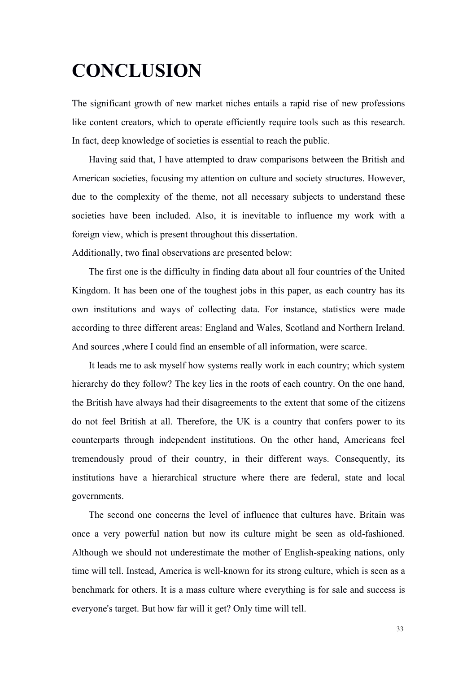# **CONCLUSION**

The significant growth of new market niches entails a rapid rise of new professions like content creators, which to operate efficiently require tools such as this research. In fact, deep knowledge of societies is essential to reach the public.

Having said that, I have attempted to draw comparisons between the British and American societies, focusing my attention on culture and society structures. However, due to the complexity of the theme, not all necessary subjects to understand these societies have been included. Also, it is inevitable to influence my work with a foreign view, which is present throughout this dissertation.

Additionally, two final observations are presented below:

The first one is the difficulty in finding data about all four countries of the United Kingdom. It has been one of the toughest jobs in this paper, as each country has its own institutions and ways of collecting data. For instance, statistics were made according to three different areas: England and Wales, Scotland and Northern Ireland. And sources ,where I could find an ensemble of all information, were scarce.

It leads me to ask myself how systems really work in each country; which system hierarchy do they follow? The key lies in the roots of each country. On the one hand, the British have always had their disagreements to the extent that some of the citizens do not feel British at all. Therefore, the UK is a country that confers power to its counterparts through independent institutions. On the other hand, Americans feel tremendously proud of their country, in their different ways. Consequently, its institutions have a hierarchical structure where there are federal, state and local governments.

The second one concerns the level of influence that cultures have. Britain was once a very powerful nation but now its culture might be seen as old-fashioned. Although we should not underestimate the mother of English-speaking nations, only time will tell. Instead, America is well-known for its strong culture, which is seen as a benchmark for others. It is a mass culture where everything is for sale and success is everyone's target. But how far will it get? Only time will tell.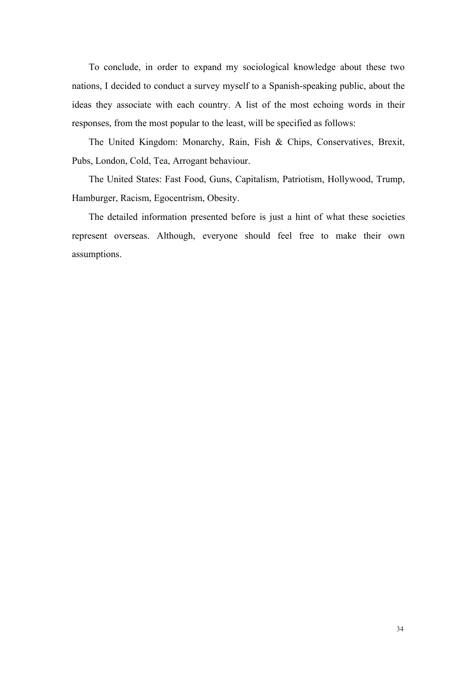To conclude, in order to expand my sociological knowledge about these two nations, I decided to conduct a survey myself to a Spanish-speaking public, about the ideas they associate with each country. A list of the most echoing words in their responses, from the most popular to the least, will be specified as follows:

The United Kingdom: Monarchy, Rain, Fish & Chips, Conservatives, Brexit, Pubs, London, Cold, Tea, Arrogant behaviour.

The United States: Fast Food, Guns, Capitalism, Patriotism, Hollywood, Trump, Hamburger, Racism, Egocentrism, Obesity.

The detailed information presented before is just a hint of what these societies represent overseas. Although, everyone should feel free to make their own assumptions.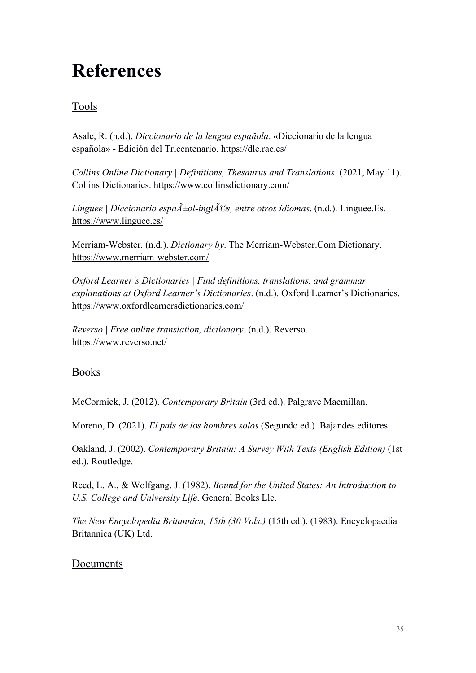# **References**

## Tools

Asale, R. (n.d.). *Diccionario de la lengua española*. «Diccionario de la lengua española» - Edición del Tricentenario. <https://dle.rae.es/>

*Collins Online Dictionary | Definitions, Thesaurus and Translations*. (2021, May 11). Collins Dictionaries. <https://www.collinsdictionary.com/>

*Linguee | Diccionario espa* $\tilde{A}$ *±ol-ingl* $\tilde{A}$ *©s, entre otros <i>idiomas*. (n.d.). Linguee.Es. <https://www.linguee.es/>

Merriam-Webster. (n.d.). *Dictionary by*. The Merriam-Webster.Com Dictionary. <https://www.merriam-webster.com/>

*Oxford Learner's Dictionaries | Find definitions,translations, and grammar explanations at Oxford Learner's Dictionaries*. (n.d.). Oxford Learner's Dictionaries. <https://www.oxfordlearnersdictionaries.com/>

*Reverso | Free online translation, dictionary*. (n.d.). Reverso. <https://www.reverso.net/>

## Books

McCormick, J. (2012). *Contemporary Britain* (3rd ed.). Palgrave Macmillan.

Moreno, D. (2021). *El país de los hombres solos* (Segundo ed.). Bajandes editores.

Oakland, J. (2002). *Contemporary Britain: A Survey With Texts (English Edition)* (1st ed.). Routledge.

Reed, L. A., & Wolfgang, J. (1982). *Bound for the United States: An Introduction to U.S. College and University Life*. General Books Llc.

*The New Encyclopedia Britannica,15th (30 Vols.)* (15th ed.). (1983). Encyclopaedia Britannica (UK) Ltd.

## Documents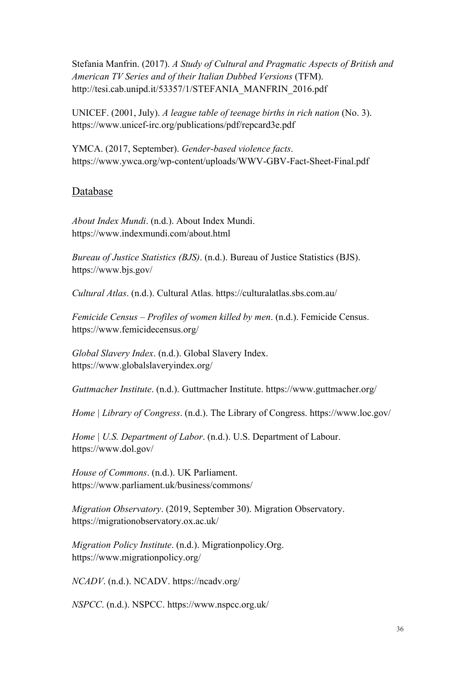Stefania Manfrin. (2017). *A Study of Cultural and Pragmatic Aspects of British and American TV Series and of their Italian Dubbed Versions* (TFM). http://tesi.cab.unipd.it/53357/1/STEFANIA\_MANFRIN\_2016.pdf

UNICEF. (2001, July). *A league table of teenage births in rich nation* (No. 3). https://www.unicef-irc.org/publications/pdf/repcard3e.pdf

YMCA. (2017, September). *Gender-based violence facts*. https://www.ywca.org/wp-content/uploads/WWV-GBV-Fact-Sheet-Final.pdf

### Database

*About Index Mundi*. (n.d.). About Index Mundi. https://www.indexmundi.com/about.html

*Bureau of Justice Statistics (BJS)*. (n.d.). Bureau of Justice Statistics (BJS). https://www.bjs.gov/

*Cultural Atlas*. (n.d.). Cultural Atlas. https://culturalatlas.sbs.com.au/

*Femicide Census – Profiles of women killed by men*. (n.d.). Femicide Census. https://www.femicidecensus.org/

*Global Slavery Index*. (n.d.). Global Slavery Index. https://www.globalslaveryindex.org/

*Guttmacher Institute*. (n.d.). Guttmacher Institute. https://www.guttmacher.org/

*Home | Library of Congress*. (n.d.). The Library of Congress. https://www.loc.gov/

*Home | U.S. Department of Labor*. (n.d.). U.S. Department of Labour. https://www.dol.gov/

*House of Commons*. (n.d.). UK Parliament. https://www.parliament.uk/business/commons/

*Migration Observatory*. (2019, September 30). Migration Observatory. https://migrationobservatory.ox.ac.uk/

*Migration Policy Institute*. (n.d.). Migrationpolicy.Org. https://www.migrationpolicy.org/

*NCADV*. (n.d.). NCADV. https://ncadv.org/

*NSPCC*. (n.d.). NSPCC. https://www.nspcc.org.uk/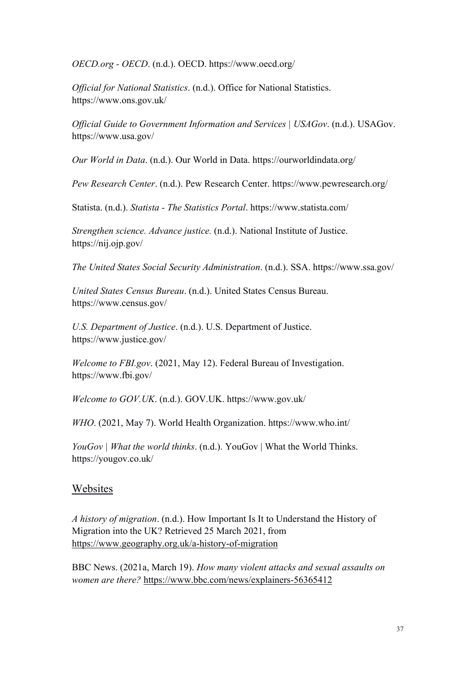*OECD.org - OECD*. (n.d.). OECD. https://www.oecd.org/

*Of icial for National Statistics*. (n.d.). Office for National Statistics. https://www.ons.gov.uk/

*Of icial Guide to Government Information and Services | USAGov*. (n.d.). USAGov. https://www.usa.gov/

*Our World in Data*. (n.d.). Our World in Data. https://ourworldindata.org/

*Pew Research Center*. (n.d.). Pew Research Center. https://www.pewresearch.org/

Statista. (n.d.). *Statista - The Statistics Portal*. https://www.statista.com/

*Strengthen science. Advance justice.* (n.d.). National Institute of Justice. https://nij.ojp.gov/

*The United States Social Security Administration*. (n.d.). SSA. https://www.ssa.gov/

*United States Census Bureau*. (n.d.). United States Census Bureau. https://www.census.gov/

*U.S. Department of Justice*. (n.d.). U.S. Department of Justice. https://www.justice.gov/

*Welcome to FBI.gov*. (2021, May 12). Federal Bureau of Investigation. https://www.fbi.gov/

*Welcome to GOV.UK*. (n.d.). GOV.UK. https://www.gov.uk/

*WHO*. (2021, May 7). World Health Organization. https://www.who.int/

*YouGov | What the world thinks*. (n.d.). YouGov | What the World Thinks. https://yougov.co.uk/

## Websites

*A history of migration*. (n.d.). How Important Is It to Understand the History of Migration into the UK? Retrieved 25 March 2021, from <https://www.geography.org.uk/a-history-of-migration>

BBC News. (2021a, March 19). *How many violent attacks and sexual assaults on women are there?* <https://www.bbc.com/news/explainers-56365412>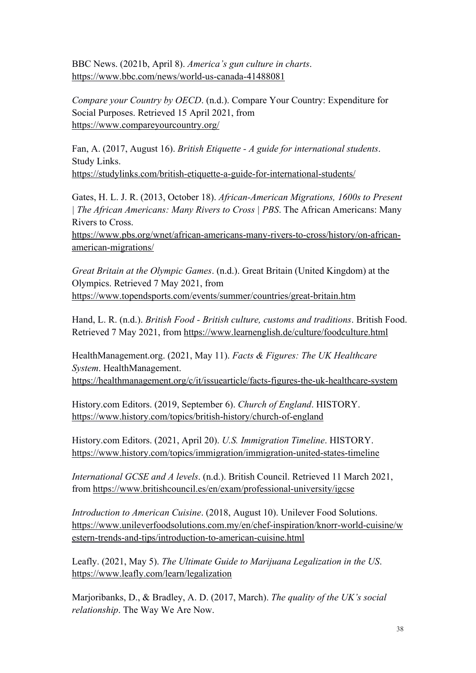BBC News. (2021b, April 8). *America's gun culture in charts*. <https://www.bbc.com/news/world-us-canada-41488081>

*Compare your Country by OECD*. (n.d.). Compare Your Country: Expenditure for Social Purposes. Retrieved 15 April 2021, from <https://www.compareyourcountry.org/>

Fan, A. (2017, August 16). *British Etiquette - A guide for international students*. Study Links.

<https://studylinks.com/british-etiquette-a-guide-for-international-students/>

Gates, H. L. J. R. (2013, October 18). *African-American Migrations, 1600s to Present | The African Americans: Many Rivers to Cross | PBS*. The African Americans: Many Rivers to Cross.

[https://www.pbs.org/wnet/african-americans-many-rivers-to-cross/history/on-african](https://www.pbs.org/wnet/african-americans-many-rivers-to-cross/history/on-african-american-migrations/) american-migrations/

*Great Britain at the Olympic Games*. (n.d.). Great Britain (United Kingdom) at the Olympics. Retrieved 7 May 2021, from <https://www.topendsports.com/events/summer/countries/great-britain.htm>

Hand, L. R. (n.d.). *British Food - British culture, customs and traditions*. British Food. Retrieved 7 May 2021, from <https://www.learnenglish.de/culture/foodculture.html>

HealthManagement.org. (2021, May 11). *Facts & Figures: The UK Healthcare System*. HealthManagement. <https://healthmanagement.org/c/it/issuearticle/facts-figures-the-uk-healthcare-system>

History.com Editors. (2019, September 6). *Church of England*. HISTORY. <https://www.history.com/topics/british-history/church-of-england>

History.com Editors. (2021, April 20). *U.S. Immigration Timeline*. HISTORY. <https://www.history.com/topics/immigration/immigration-united-states-timeline>

*International GCSE and A levels*. (n.d.). British Council. Retrieved 11 March 2021, from <https://www.britishcouncil.es/en/exam/professional-university/igcse>

*Introduction to American Cuisine*. (2018, August 10). Unilever Food Solutions. [https://www.unileverfoodsolutions.com.my/en/chef-inspiration/knorr-world-cuisine/w](https://www.unileverfoodsolutions.com.my/en/chef-inspiration/knorr-world-cuisine/western-trends-and-tips/introduction-to-american-cuisine.html) estern-trends-and-tips/introduction-to-american-cuisine.html

Leafly. (2021, May 5). *The Ultimate Guide to Marijuana Legalization in the US*. <https://www.leafly.com/learn/legalization>

Marjoribanks, D., & Bradley, A. D. (2017, March). *The quality of the UK's social relationship*. The Way We Are Now.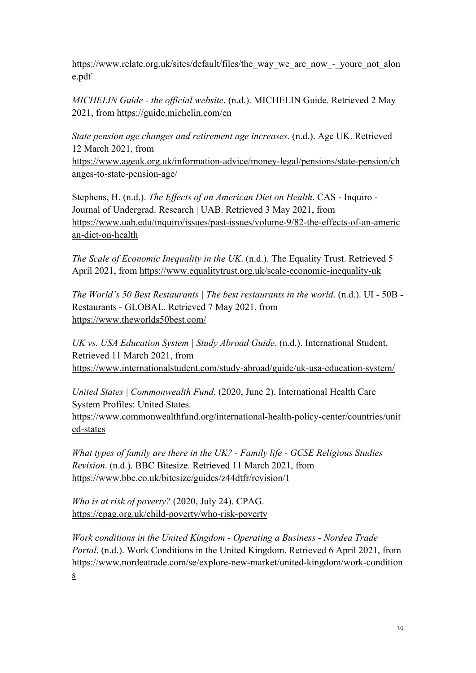https://www.relate.org.uk/sites/default/files/the\_way\_we\_are\_now\_-\_youre\_not\_alon e.pdf

*MICHELIN Guide - the of icial website*. (n.d.). MICHELIN Guide. Retrieved 2 May 2021, from <https://guide.michelin.com/en>

*State pension age changes and retirement age increases*. (n.d.). Age UK. Retrieved 12 March 2021, from [https://www.ageuk.org.uk/information-advice/money-legal/pensions/state-pension/ch](https://www.ageuk.org.uk/information-advice/money-legal/pensions/state-pension/changes-to-state-pension-age/) anges-to-state-pension-age/

Stephens, H. (n.d.). *The Ef ects of an American Diet on Health*. CAS - Inquiro - Journal of Undergrad. Research | UAB. Retrieved 3 May 2021, from [https://www.uab.edu/inquiro/issues/past-issues/volume-9/82-the-effects-of-an-americ](https://www.uab.edu/inquiro/issues/past-issues/volume-9/82-the-effects-of-an-american-diet-on-health) an-diet-on-health

*The Scale of Economic Inequality in the UK*. (n.d.). The Equality Trust. Retrieved 5 April 2021, from <https://www.equalitytrust.org.uk/scale-economic-inequality-uk>

*The World's 50 Best Restaurants | The best restaurants in the world*. (n.d.). UI - 50B - Restaurants - GLOBAL. Retrieved 7 May 2021, from <https://www.theworlds50best.com/>

*UK vs. USA Education System | Study Abroad Guide*. (n.d.). International Student. Retrieved 11 March 2021, from <https://www.internationalstudent.com/study-abroad/guide/uk-usa-education-system/>

*United States | Commonwealth Fund*. (2020, June 2). International Health Care System Profiles: United States. [https://www.commonwealthfund.org/international-health-policy-center/countries/unit](https://www.commonwealthfund.org/international-health-policy-center/countries/united-states) ed-states

*What types of family are there in the UK? - Family life -GCSE Religious Studies Revision*. (n.d.). BBC Bitesize. Retrieved 11 March 2021, from <https://www.bbc.co.uk/bitesize/guides/z44dtfr/revision/1>

*Who is at risk of poverty?* (2020, July 24). CPAG. <https://cpag.org.uk/child-poverty/who-risk-poverty>

*Work conditions in the United Kingdom - Operating a Business - Nordea Trade Portal*. (n.d.). Work Conditions in the United Kingdom. Retrieved 6 April 2021, from [https://www.nordeatrade.com/se/explore-new-market/united-kingdom/work-condition](https://www.nordeatrade.com/se/explore-new-market/united-kingdom/work-conditions) s